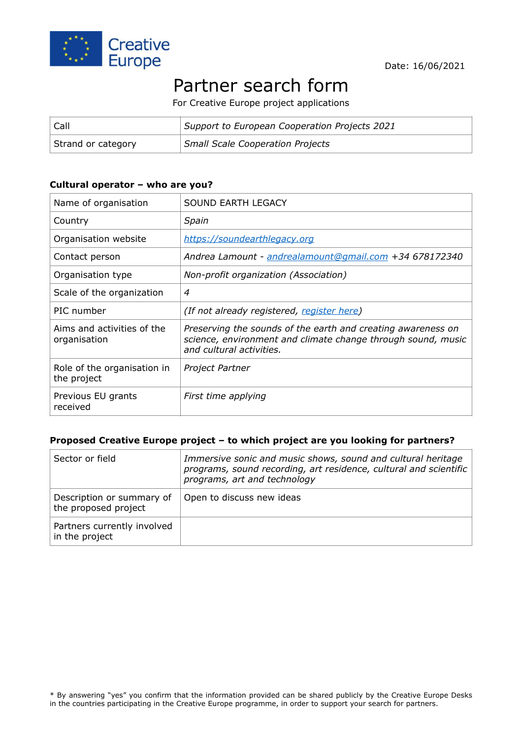

#### Date: 16/06/2021

# Partner search form

For Creative Europe project applications

| Call               | Support to European Cooperation Projects 2021 |
|--------------------|-----------------------------------------------|
| Strand or category | <b>Small Scale Cooperation Projects</b>       |

#### **Cultural operator – who are you?**

| Name of organisation                       | SOUND EARTH LEGACY                                                                                                                                       |
|--------------------------------------------|----------------------------------------------------------------------------------------------------------------------------------------------------------|
| Country                                    | Spain                                                                                                                                                    |
| Organisation website                       | https://soundearthlegacy.org                                                                                                                             |
| Contact person                             | Andrea Lamount - andrealamount@gmail.com +34 678172340                                                                                                   |
| Organisation type                          | Non-profit organization (Association)                                                                                                                    |
| Scale of the organization                  | $\overline{4}$                                                                                                                                           |
| PIC number                                 | (If not already registered, register here)                                                                                                               |
| Aims and activities of the<br>organisation | Preserving the sounds of the earth and creating awareness on<br>science, environment and climate change through sound, music<br>and cultural activities. |
| Role of the organisation in<br>the project | Project Partner                                                                                                                                          |
| Previous EU grants<br>received             | First time applying                                                                                                                                      |

#### **Proposed Creative Europe project – to which project are you looking for partners?**

| Sector or field                                   | Immersive sonic and music shows, sound and cultural heritage<br>programs, sound recording, art residence, cultural and scientific<br>programs, art and technology |
|---------------------------------------------------|-------------------------------------------------------------------------------------------------------------------------------------------------------------------|
| Description or summary of<br>the proposed project | Open to discuss new ideas                                                                                                                                         |
| Partners currently involved<br>in the project     |                                                                                                                                                                   |